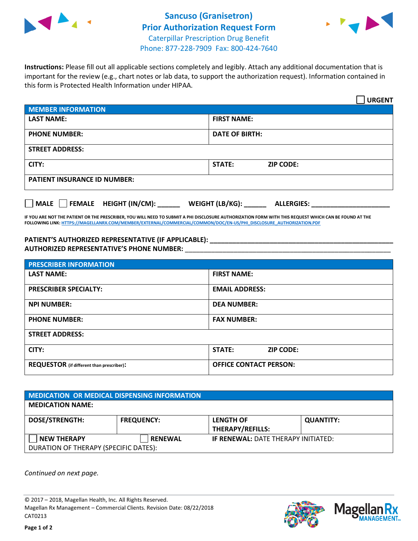



**Instructions:** Please fill out all applicable sections completely and legibly. Attach any additional documentation that is important for the review (e.g., chart notes or lab data, to support the authorization request). Information contained in this form is Protected Health Information under HIPAA.

|                                     | <b>URGENT</b>                        |
|-------------------------------------|--------------------------------------|
| <b>MEMBER INFORMATION</b>           |                                      |
| <b>LAST NAME:</b>                   | <b>FIRST NAME:</b>                   |
| <b>PHONE NUMBER:</b>                | <b>DATE OF BIRTH:</b>                |
| <b>STREET ADDRESS:</b>              |                                      |
| CITY:                               | STATE:<br><b>ZIP CODE:</b>           |
| <b>PATIENT INSURANCE ID NUMBER:</b> |                                      |
| FEMALE HEIGHT (IN/CM):<br>    MALE  | WEIGHT (LB/KG):<br><b>ALLERGIES:</b> |

**IF YOU ARE NOT THE PATIENT OR THE PRESCRIBER, YOU WILL NEED TO SUBMIT A PHI DISCLOSURE AUTHORIZATION FORM WITH THIS REQUEST WHICH CAN BE FOUND AT THE FOLLOWING LINK[: HTTPS://MAGELLANRX.COM/MEMBER/EXTERNAL/COMMERCIAL/COMMON/DOC/EN-US/PHI\\_DISCLOSURE\\_AUTHORIZATION.PDF](https://magellanrx.com/member/external/commercial/common/doc/en-us/PHI_Disclosure_Authorization.pdf)**

**PATIENT'S AUTHORIZED REPRESENTATIVE (IF APPLICABLE): \_\_\_\_\_\_\_\_\_\_\_\_\_\_\_\_\_\_\_\_\_\_\_\_\_\_\_\_\_\_\_\_\_\_\_\_\_\_\_\_\_\_\_\_\_\_\_\_\_ AUTHORIZED REPRESENTATIVE'S PHONE NUMBER:** \_\_\_\_\_\_\_\_\_\_\_\_\_\_\_\_\_\_\_\_\_\_\_\_\_\_\_\_\_\_\_\_\_\_\_\_\_\_\_\_\_\_\_\_\_\_\_\_\_\_\_\_\_\_\_

| <b>PRESCRIBER INFORMATION</b>             |                               |  |  |  |
|-------------------------------------------|-------------------------------|--|--|--|
| <b>LAST NAME:</b>                         | <b>FIRST NAME:</b>            |  |  |  |
| <b>PRESCRIBER SPECIALTY:</b>              | <b>EMAIL ADDRESS:</b>         |  |  |  |
| <b>NPI NUMBER:</b>                        | <b>DEA NUMBER:</b>            |  |  |  |
| <b>PHONE NUMBER:</b>                      | <b>FAX NUMBER:</b>            |  |  |  |
| <b>STREET ADDRESS:</b>                    |                               |  |  |  |
| CITY:                                     | STATE:<br><b>ZIP CODE:</b>    |  |  |  |
| REQUESTOR (if different than prescriber): | <b>OFFICE CONTACT PERSON:</b> |  |  |  |

| <b>MEDICATION OR MEDICAL DISPENSING INFORMATION</b> |                   |                                            |                  |  |  |
|-----------------------------------------------------|-------------------|--------------------------------------------|------------------|--|--|
| <b>MEDICATION NAME:</b>                             |                   |                                            |                  |  |  |
| <b>DOSE/STRENGTH:</b>                               | <b>FREQUENCY:</b> | <b>LENGTH OF</b>                           | <b>QUANTITY:</b> |  |  |
|                                                     |                   | <b>THERAPY/REFILLS:</b>                    |                  |  |  |
| <b>NEW THERAPY</b>                                  | <b>RENEWAL</b>    | <b>IF RENEWAL: DATE THERAPY INITIATED:</b> |                  |  |  |
| DURATION OF THERAPY (SPECIFIC DATES):               |                   |                                            |                  |  |  |

*Continued on next page.*

© 2017 – 2018, Magellan Health, Inc. All Rights Reserved. Magellan Rx Management – Commercial Clients. Revision Date: 08/22/2018 CAT0213